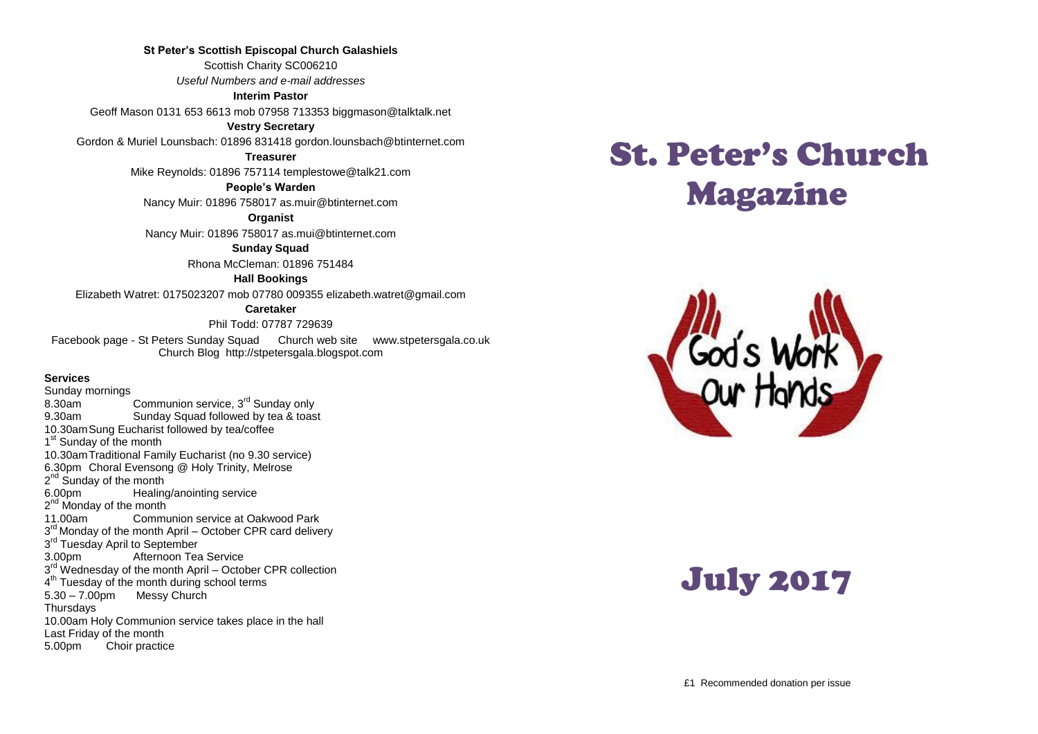#### **St Peter's Scottish Episcopal Church Galashiels**

Scottish Charity SC006210 *Useful Numbers and e-mail addresses*

#### **Interim Pastor**

Geoff Mason 0131 653 6613 mob 07958 713353 biggmason@talktalk.net

#### **Vestry Secretary**

Gordon & Muriel Lounsbach: 01896 831418 gordon.lounsbach@btinternet.com

**Treasurer**

Mike Reynolds: 01896 757114 templestowe@talk21.com

**People's Warden**

Nancy Muir: 01896 758017 as.muir@btinternet.com

**Organist**

Nancy Muir: 01896 758017 as.mui@btinternet.com

#### **Sunday Squad**

Rhona McCleman: 01896 751484

#### **Hall Bookings**

Elizabeth Watret: 0175023207 mob 07780 009355 elizabeth.watret@gmail.com

#### **Caretaker**

Phil Todd: 07787 729639

Facebook page - St Peters Sunday Squad Church web site www.stpetersgala.co.uk Church Blog [http://stpetersgala.blogspot.com](http://stpetersgala.blogspot.com/)

#### **Services**

Sunday mornings<br>8.30am Communion service, 3<sup>rd</sup> Sunday only 9.30am Sunday Squad followed by tea & toast 10.30amSung Eucharist followed by tea/coffee 1<sup>st</sup> Sunday of the month 10.30amTraditional Family Eucharist (no 9.30 service) 6.30pm Choral Evensong @ Holy Trinity, Melrose 2<sup>nd</sup> Sunday of the month 6.00pm Healing/anointing service 2<sup>nd</sup> Monday of the month 11.00am Communion service at Oakwood Park 3<sup>rd</sup> Monday of the month April – October CPR card delivery 3<sup>rd</sup> Tuesday April to September 3.00pm Afternoon Tea Service 3<sup>rd</sup> Wednesday of the month April – October CPR collection 4<sup>th</sup> Tuesday of the month during school terms 5.30 – 7.00pm Messy Church **Thursdays** 10.00am Holy Communion service takes place in the hall Last Friday of the month 5.00pm Choir practice

# St. Peter's Church Magazine



# July 2017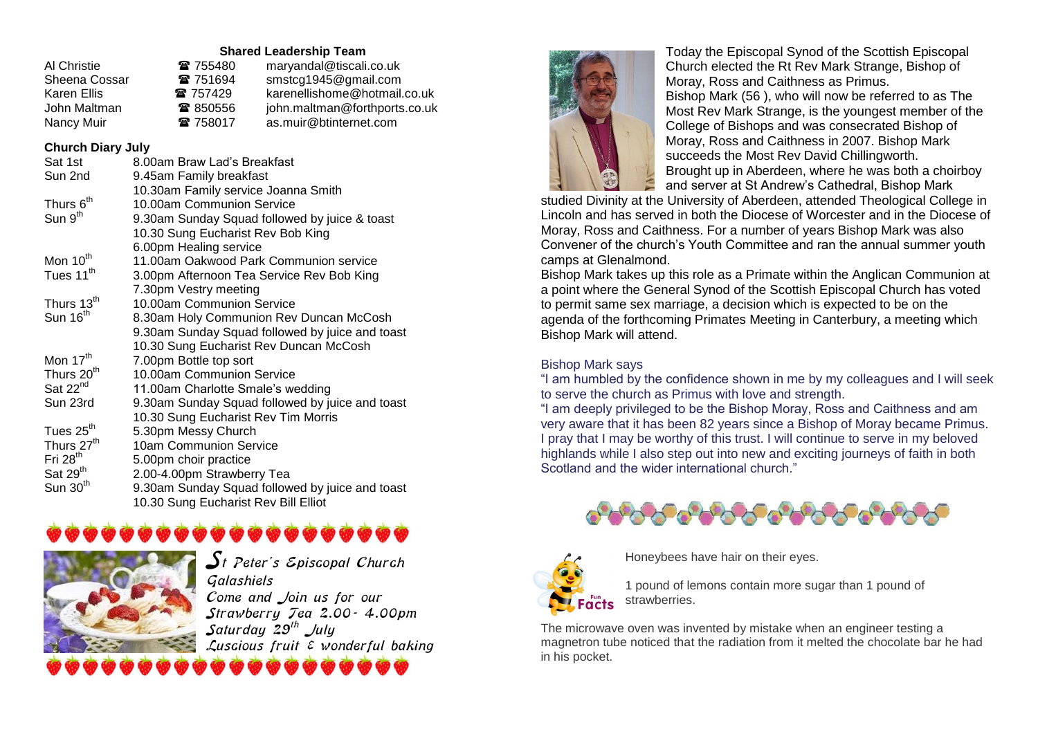#### **Shared Leadership Team**

| Al Christie   | ☎ 755480 | maryandal@tiscali.co.uk       |
|---------------|----------|-------------------------------|
| Sheena Cossar | 雷 751694 | smstcg1945@gmail.com          |
| Karen Ellis   | 雷 757429 | karenellishome@hotmail.co.uk  |
| John Maltman  | ☎ 850556 | john.maltman@forthports.co.uk |
| Nancy Muir    | 雷 758017 | as.muir@btinternet.com        |

#### **Church Diary July**

| Sat 1st                | 8.00am Braw Lad's Breakfast                     |  |
|------------------------|-------------------------------------------------|--|
| Sun 2nd                | 9.45am Family breakfast                         |  |
|                        | 10.30am Family service Joanna Smith             |  |
| Thurs 6 <sup>th</sup>  | 10.00am Communion Service                       |  |
| Sun 9 <sup>th</sup>    | 9.30am Sunday Squad followed by juice & toast   |  |
|                        | 10.30 Sung Eucharist Rev Bob King               |  |
|                        | 6.00pm Healing service                          |  |
| Mon 10 <sup>th</sup>   | 11.00am Oakwood Park Communion service          |  |
| Tues 11 <sup>th</sup>  | 3.00pm Afternoon Tea Service Rev Bob King       |  |
|                        | 7.30pm Vestry meeting                           |  |
| Thurs 13 <sup>th</sup> | 10.00am Communion Service                       |  |
| Sun 16 <sup>th</sup>   | 8.30am Holy Communion Rev Duncan McCosh         |  |
|                        | 9.30am Sunday Squad followed by juice and toast |  |
|                        | 10.30 Sung Eucharist Rev Duncan McCosh          |  |
| Mon 17 <sup>th</sup>   | 7.00pm Bottle top sort                          |  |
| Thurs 20 <sup>th</sup> | 10.00am Communion Service                       |  |
| Sat 22 <sup>nd</sup>   | 11.00am Charlotte Smale's wedding               |  |
| Sun 23rd               | 9.30am Sunday Squad followed by juice and toast |  |
|                        | 10.30 Sung Eucharist Rev Tim Morris             |  |
| Tues 25 <sup>th</sup>  | 5.30pm Messy Church                             |  |
| Thurs 27 <sup>th</sup> | 10am Communion Service                          |  |
| Fri $28th$             | 5.00pm choir practice                           |  |
| Sat 29 <sup>th</sup>   | 2.00-4.00pm Strawberry Tea                      |  |
| Sun $30th$             | 9.30am Sunday Squad followed by juice and toast |  |
|                        | 10.30 Sung Eucharist Rev Bill Elliot            |  |

## \*\*\*\*\*\*\*\*\*\*\*\*\*\*\*



 $\boldsymbol{\mathcal{S}}$ t Peter's Episcopal Church Galashiels Come and Join us for our Strawberry Tea 2.00- 4.00pm  $S$ aturday  $29^{th}$  July Luscious fruit  $\varepsilon$  wonderful baking



Today the Episcopal Synod of the Scottish Episcopal Church elected the Rt Rev Mark Strange, Bishop of Moray, Ross and Caithness as Primus. Bishop Mark (56 ), who will now be referred to as The Most Rev Mark Strange, is the youngest member of the College of Bishops and was consecrated Bishop of Moray, Ross and Caithness in 2007. Bishop Mark succeeds the Most Rev David Chillingworth. Brought up in Aberdeen, where he was both a choirboy and server at St Andrew's Cathedral, Bishop Mark

studied Divinity at the University of Aberdeen, attended Theological College in Lincoln and has served in both the Diocese of Worcester and in the Diocese of Moray, Ross and Caithness. For a number of years Bishop Mark was also Convener of the church's Youth Committee and ran the annual summer youth camps at Glenalmond.

Bishop Mark takes up this role as a Primate within the Anglican Communion at a point where the General Synod of the Scottish Episcopal Church has voted to permit same sex marriage, a decision which is expected to be on the agenda of the forthcoming Primates Meeting in Canterbury, a meeting which Bishop Mark will attend.

#### Bishop Mark says

**arion** 

"I am humbled by the confidence shown in me by my colleagues and I will seek to serve the church as Primus with love and strength.

"I am deeply privileged to be the Bishop Moray, Ross and Caithness and am very aware that it has been 82 years since a Bishop of Moray became Primus. I pray that I may be worthy of this trust. I will continue to serve in my beloved highlands while I also step out into new and exciting journeys of faith in both Scotland and the wider international church."



Honeybees have hair on their eyes.

1 pound of lemons contain more sugar than 1 pound of strawberries.

The microwave oven was invented by mistake when an engineer testing a magnetron tube noticed that the radiation from it melted the chocolate bar he had in his pocket.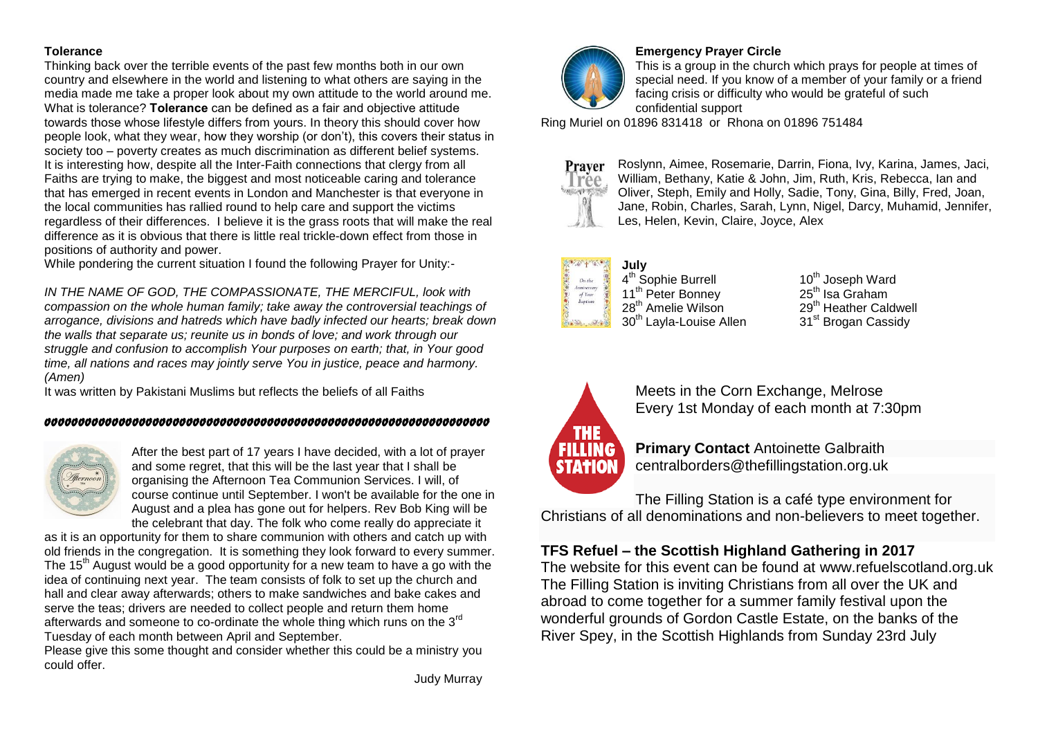#### **Tolerance**

Thinking back over the terrible events of the past few months both in our own country and elsewhere in the world and listening to what others are saying in the media made me take a proper look about my own attitude to the world around me. What is tolerance? **Tolerance** can be defined as a fair and objective attitude towards those whose lifestyle differs from yours. In theory this should cover how people look, what they wear, how they worship (or don't), this covers their status in society too – poverty creates as much discrimination as different belief systems. It is interesting how, despite all the Inter-Faith connections that clergy from all Faiths are trying to make, the biggest and most noticeable caring and tolerance that has emerged in recent events in London and Manchester is that everyone in the local communities has rallied round to help care and support the victims regardless of their differences. I believe it is the grass roots that will make the real difference as it is obvious that there is little real trickle-down effect from those in positions of authority and power.

While pondering the current situation I found the following Prayer for Unity:-

*IN THE NAME OF GOD, THE COMPASSIONATE, THE MERCIFUL, look with compassion on the whole human family; take away the controversial teachings of arrogance, divisions and hatreds which have badly infected our hearts; break down the walls that separate us; reunite us in bonds of love; and work through our struggle and confusion to accomplish Your purposes on earth; that, in Your good time, all nations and races may jointly serve You in justice, peace and harmony. (Amen)*

It was written by Pakistani Muslims but reflects the beliefs of all Faiths

#### oooooooooooooooooooooooooooooooooooooooooooooooooooooooooooooooooo



After the best part of 17 years I have decided, with a lot of prayer and some regret, that this will be the last year that I shall be organising the Afternoon Tea Communion Services. I will, of course continue until September. I won't be available for the one in August and a plea has gone out for helpers. Rev Bob King will be the celebrant that day. The folk who come really do appreciate it

as it is an opportunity for them to share communion with others and catch up with old friends in the congregation. It is something they look forward to every summer. The 15<sup>th</sup> August would be a good opportunity for a new team to have a go with the idea of continuing next year. The team consists of folk to set up the church and hall and clear away afterwards; others to make sandwiches and bake cakes and serve the teas; drivers are needed to collect people and return them home afterwards and someone to co-ordinate the whole thing which runs on the 3<sup>rd</sup> Tuesday of each month between April and September.

Please give this some thought and consider whether this could be a ministry you could offer.



#### **Emergency Prayer Circle**

This is a group in the church which prays for people at times of special need. If you know of a member of your family or a friend facing crisis or difficulty who would be grateful of such confidential support

Ring Muriel on 01896 831418 or Rhona on 01896 751484



Roslynn, Aimee, Rosemarie, Darrin, Fiona, Ivy, Karina, James, Jaci, William, Bethany, Katie & John, Jim, Ruth, Kris, Rebecca, Ian and Oliver, Steph, Emily and Holly, Sadie, Tony, Gina, Billy, Fred, Joan, Jane, Robin, Charles, Sarah, Lynn, Nigel, Darcy, Muhamid, Jennifer, Les, Helen, Kevin, Claire, Joyce, Alex

#### **July** On the Anniversary<br>of Your

4<sup>th</sup> Sophie Burrell 11<sup>th</sup> Peter Bonney<br>28<sup>th</sup> Amelie Wilson  $30<sup>th</sup>$  Layla-Louise Allen  $31<sup>st</sup>$  Brogan Cassidy

 $10^{th}$  Joseph Ward<br>25<sup>th</sup> Isa Graham 29<sup>th</sup> Heather Caldwell



Meets in the Corn Exchange, Melrose Every 1st Monday of each month at 7:30pm

**Primary Contact** Antoinette Galbraith centralborders@thefillingstation.org.uk

The Filling Station is a café type environment for Christians of all denominations and non-believers to meet together.

### **TFS Refuel – [the Scottish Highland Gathering in 2017](http://thefillingstation.org.uk/2016/12/craigmackay/tfs-refuel-the-scottish-highland-gathering-in-2017/)**

The website for this event can be found at www.refuelscotland.org.uk The Filling Station is inviting Christians from all over the UK and abroad to come together for a summer family festival upon the wonderful grounds of Gordon Castle Estate, on the banks of the River Spey, in the Scottish Highlands from Sunday 23rd July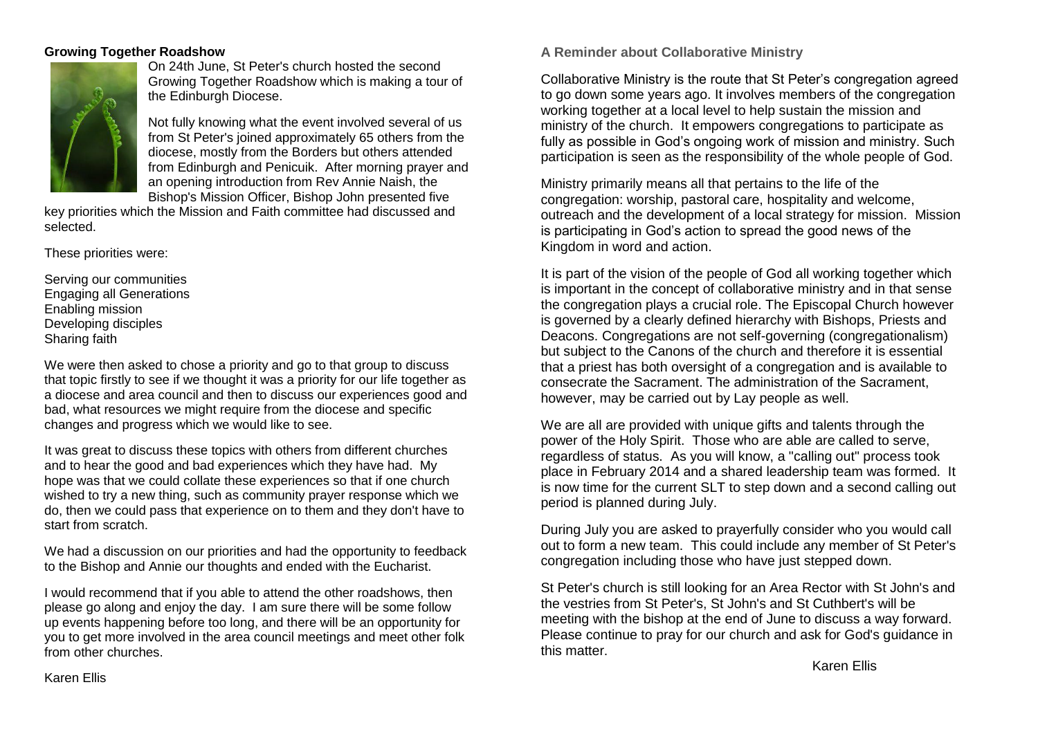#### **Growing Together Roadshow**



On 24th June, St Peter's church hosted the second Growing Together Roadshow which is making a tour of the Edinburgh Diocese.

Not fully knowing what the event involved several of us from St Peter's joined approximately 65 others from the diocese, mostly from the Borders but others attended from Edinburgh and Penicuik. After morning prayer and an opening introduction from Rev Annie Naish, the Bishop's Mission Officer, Bishop John presented five

key priorities which the Mission and Faith committee had discussed and selected.

These priorities were:

Serving our communities Engaging all Generations Enabling mission Developing disciples Sharing faith

We were then asked to chose a priority and go to that group to discuss that topic firstly to see if we thought it was a priority for our life together as a diocese and area council and then to discuss our experiences good and bad, what resources we might require from the diocese and specific changes and progress which we would like to see.

It was great to discuss these topics with others from different churches and to hear the good and bad experiences which they have had. My hope was that we could collate these experiences so that if one church wished to try a new thing, such as community prayer response which we do, then we could pass that experience on to them and they don't have to start from scratch.

We had a discussion on our priorities and had the opportunity to feedback to the Bishop and Annie our thoughts and ended with the Eucharist.

I would recommend that if you able to attend the other roadshows, then please go along and enjoy the day. I am sure there will be some follow up events happening before too long, and there will be an opportunity for you to get more involved in the area council meetings and meet other folk from other churches.

**A Reminder about Collaborative Ministry**

Collaborative Ministry is the route that St Peter's congregation agreed to go down some years ago. It involves members of the congregation working together at a local level to help sustain the mission and ministry of the church. It empowers congregations to participate as fully as possible in God's ongoing work of mission and ministry. Such participation is seen as the responsibility of the whole people of God.

Ministry primarily means all that pertains to the life of the congregation: worship, pastoral care, hospitality and welcome, outreach and the development of a local strategy for mission. Mission is participating in God's action to spread the good news of the Kingdom in word and action.

It is part of the vision of the people of God all working together which is important in the concept of collaborative ministry and in that sense the congregation plays a crucial role. The Episcopal Church however is governed by a clearly defined hierarchy with Bishops, Priests and Deacons. Congregations are not self-governing (congregationalism) but subject to the Canons of the church and therefore it is essential that a priest has both oversight of a congregation and is available to consecrate the Sacrament. The administration of the Sacrament, however, may be carried out by Lay people as well.

We are all are provided with unique gifts and talents through the power of the Holy Spirit. Those who are able are called to serve, regardless of status. As you will know, a "calling out" process took place in February 2014 and a shared leadership team was formed. It is now time for the current SLT to step down and a second calling out period is planned during July.

During July you are asked to prayerfully consider who you would call out to form a new team. This could include any member of St Peter's congregation including those who have just stepped down.

St Peter's church is still looking for an Area Rector with St John's and the vestries from St Peter's, St John's and St Cuthbert's will be meeting with the bishop at the end of June to discuss a way forward. Please continue to pray for our church and ask for God's guidance in this matter.

Karen Ellis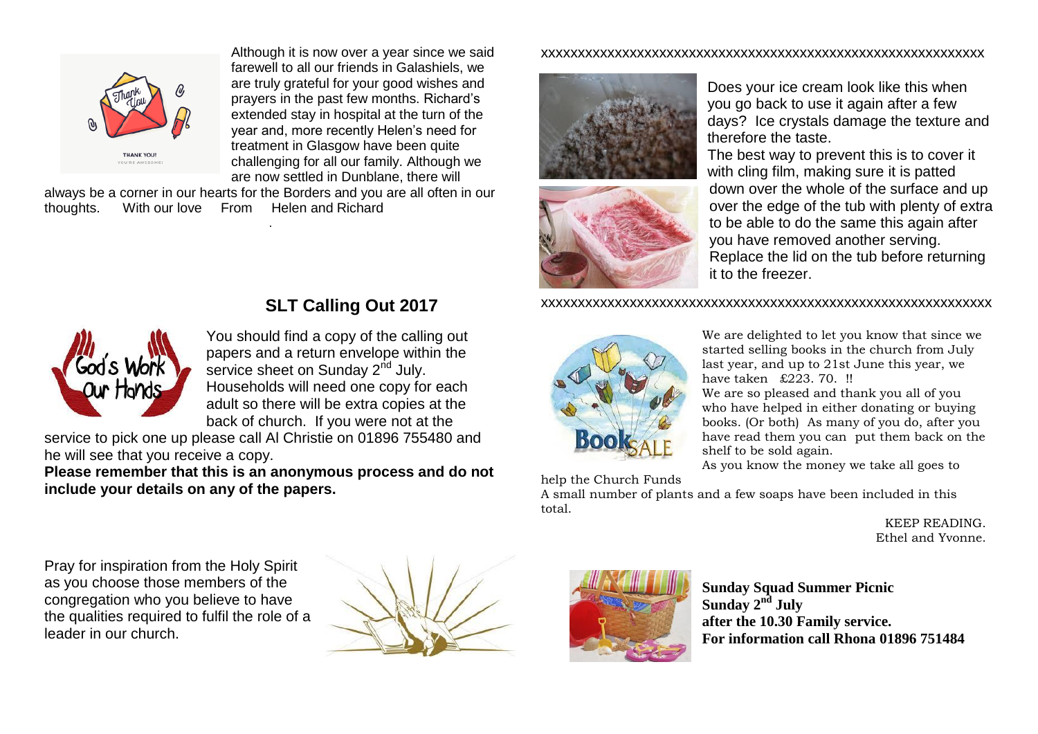

Although it is now over a year since we said farewell to all our friends in Galashiels, we are truly grateful for your good wishes and prayers in the past few months. Richard's extended stay in hospital at the turn of the year and, more recently Helen's need for treatment in Glasgow have been quite challenging for all our family. Although we are now settled in Dunblane, there will

always be a corner in our hearts for the Borders and you are all often in our thoughts. With our love From Helen and Richard thoughts. With our love From Helen and Richard .

#### xxxxxxxxxxxxxxxxxxxxxxxxxxxxxxxxxxxxxxxxxxxxxxxxxxxxxxxxxxxx





Does your ice cream look like this when you go back to use it again after a few days? Ice crystals damage the texture and therefore the taste.

The best way to prevent this is to cover it with cling film, making sure it is patted down over the whole of the surface and up over the edge of the tub with plenty of extra to be able to do the same this again after you have removed another serving. Replace the lid on the tub before returning it to the freezer.

#### xxxxxxxxxxxxxxxxxxxxxxxxxxxxxxxxxxxxxxxxxxxxxxxxxxxxxxxxxxxxx



We are delighted to let you know that since we started selling books in the church from July last year, and up to 21st June this year, we have taken £223. 70. !!

We are so pleased and thank you all of you who have helped in either donating or buying books. (Or both) As many of you do, after you have read them you can put them back on the shelf to be sold again.

As you know the money we take all goes to

help the Church Funds

A small number of plants and a few soaps have been included in this total.

> KEEP READING. Ethel and Yvonne.

Pray for inspiration from the Holy Spirit as you choose those members of the congregation who you believe to have the qualities required to fulfil the role of a leader in our church.





**Sunday Squad Summer Picnic Sunday 2nd July after the 10.30 Family service. For information call Rhona 01896 751484**

### **SLT Calling Out 2017**

You should find a copy of the calling out papers and a return envelope within the service sheet on Sunday  $2<sup>nd</sup>$  July. Households will need one copy for each adult so there will be extra copies at the back of church. If you were not at the

service to pick one up please call Al Christie on 01896 755480 and he will see that you receive a copy.

**Please remember that this is an anonymous process and do not include your details on any of the papers.**